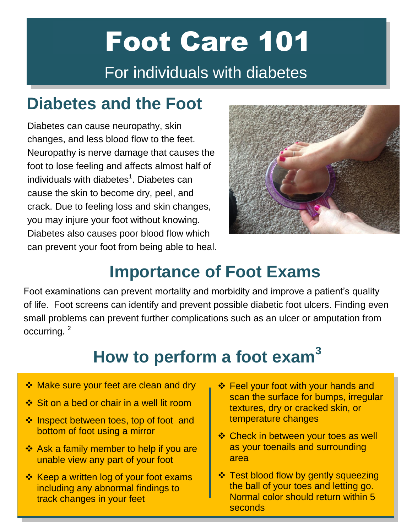# Foot Care 101 For individuals with diabetes

### **Diabetes and the Foot**

Diabetes can cause neuropathy, skin changes, and less blood flow to the feet. Neuropathy is nerve damage that causes the foot to lose feeling and affects almost half of individuals with diabetes $^1$ . Diabetes can cause the skin to become dry, peel, and crack. Due to feeling loss and skin changes, you may injure your foot without knowing. Diabetes also causes poor blood flow which can prevent your foot from being able to heal.



### **Importance of Foot Exams**

Foot examinations can prevent mortality and morbidity and improve a patient's quality of life. Foot screens can identify and prevent possible diabetic foot ulcers. Finding even small problems can prevent further complications such as an ulcer or amputation from occurring. <sup>2</sup>

# **How to perform a foot exam<sup>3</sup>**

- ❖ Make sure your feet are clean and dry
- $\div$  Sit on a bed or chair in a well lit room
- ❖ Inspect between toes, top of foot and bottom of foot using a mirror
- ❖ Ask a family member to help if you are unable view any part of your foot
- ❖ Keep a written log of your foot exams including any abnormal findings to track changes in your feet
- **Example 3 Feel your foot with your hands and** scan the surface for bumps, irregular textures, dry or cracked skin, or temperature changes
- **Example:** Check in between your toes as well as your toenails and surrounding area
- $\div$  **Test blood flow by gently squeezing** the ball of your toes and letting go. Normal color should return within 5 seconds